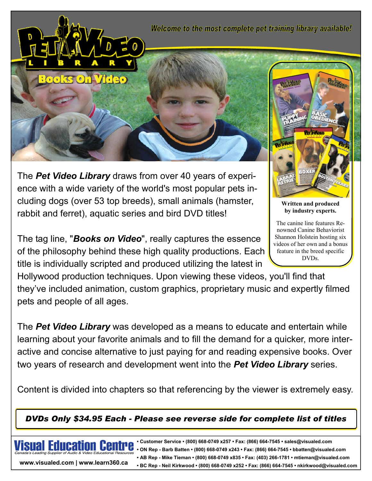

The *Pet Video Library* draws from over 40 years of experience with a wide variety of the world's most popular pets including dogs (over 53 top breeds), small animals (hamster, rabbit and ferret), aquatic series and bird DVD titles!

The tag line, "*Books on Video*", really captures the essence of the philosophy behind these high quality productions. Each title is individually scripted and produced utilizing the latest in

**Written and produced by industry experts.**  The canine line features Renowned Canine Behaviorist Shannon Holstein hosting six videos of her own and a bonus feature in the breed specific DVDs.

Hollywood production techniques. Upon viewing these videos, you'll find that they've included animation, custom graphics, proprietary music and expertly filmed pets and people of all ages.

The *Pet Video Library* was developed as a means to educate and entertain while learning about your favorite animals and to fill the demand for a quicker, more interactive and concise alternative to just paying for and reading expensive books. Over two years of research and development went into the *Pet Video Library* series.

Content is divided into chapters so that referencing by the viewer is extremely easy.

*DVDs Only \$34.95 Each - Please see reverse side for complete list of titles* 

**• Customer Service • (800) 668-0749 x257 • Fax: (866) 664-7545 • sales@visualed.com • ON Rep - Barb Batten • (800) 668-0749 x243 • Fax: (866) 664-7545 • bbatten@visualed.com • AB Rep - Mike Tieman • (800) 668-0749 x835 • Fax: (403) 266-1781 • mtieman@visualed.com • BC Rep - Neil Kirkwood • (800) 668-0749 x252 • Fax: (866) 664-7545 • nkirkwood@visualed.com www.visualed.com | www.learn360.ca**